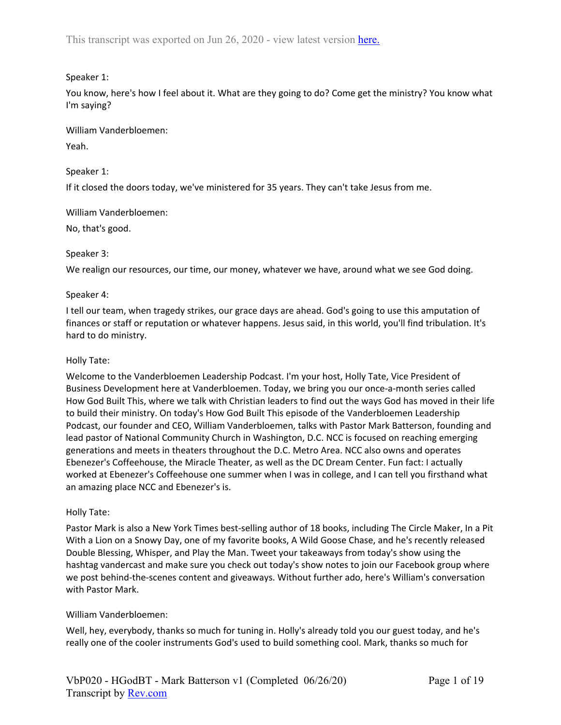# Speaker 1:

You know, here's how I feel about it. What are they going to do? Come get the ministry? You know what I'm saying?

William Vanderbloemen: Yeah.

Speaker 1:

If it closed the doors today, we've ministered for 35 years. They can't take Jesus from me.

William Vanderbloemen:

No, that's good.

## Speaker 3:

We realign our resources, our time, our money, whatever we have, around what we see God doing.

## Speaker 4:

I tell our team, when tragedy strikes, our grace days are ahead. God's going to use this amputation of finances or staff or reputation or whatever happens. Jesus said, in this world, you'll find tribulation. It's hard to do ministry.

## Holly Tate:

Welcome to the Vanderbloemen Leadership Podcast. I'm your host, Holly Tate, Vice President of Business Development here at Vanderbloemen. Today, we bring you our once-a-month series called How God Built This, where we talk with Christian leaders to find out the ways God has moved in their life to build their ministry. On today's How God Built This episode of the Vanderbloemen Leadership Podcast, our founder and CEO, William Vanderbloemen, talks with Pastor Mark Batterson, founding and lead pastor of National Community Church in Washington, D.C. NCC is focused on reaching emerging generations and meets in theaters throughout the D.C. Metro Area. NCC also owns and operates Ebenezer's Coffeehouse, the Miracle Theater, as well as the DC Dream Center. Fun fact: I actually worked at Ebenezer's Coffeehouse one summer when I was in college, and I can tell you firsthand what an amazing place NCC and Ebenezer's is.

### Holly Tate:

Pastor Mark is also a New York Times best-selling author of 18 books, including The Circle Maker, In a Pit With a Lion on a Snowy Day, one of my favorite books, A Wild Goose Chase, and he's recently released Double Blessing, Whisper, and Play the Man. Tweet your takeaways from today's show using the hashtag vandercast and make sure you check out today's show notes to join our Facebook group where we post behind-the-scenes content and giveaways. Without further ado, here's William's conversation with Pastor Mark.

# William Vanderbloemen:

Well, hey, everybody, thanks so much for tuning in. Holly's already told you our guest today, and he's really one of the cooler instruments God's used to build something cool. Mark, thanks so much for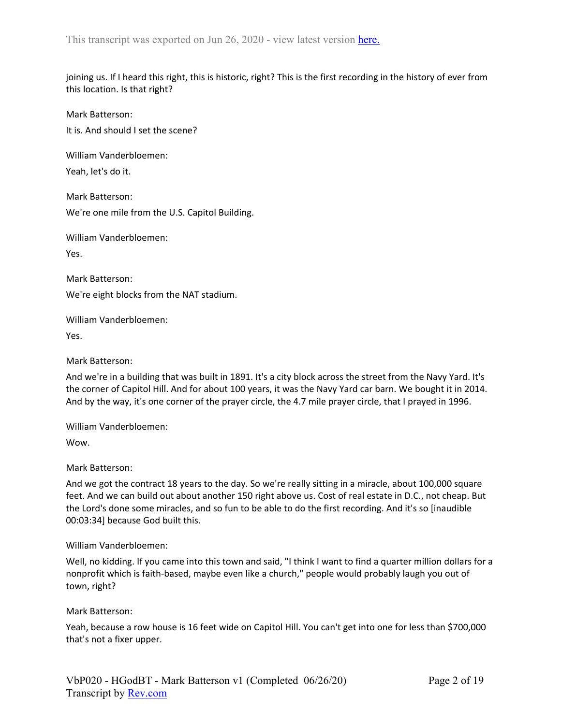joining us. If I heard this right, this is historic, right? This is the first recording in the history of ever from this location. Is that right?

Mark Batterson: It is. And should I set the scene?

William Vanderbloemen:

Yeah, let's do it.

Mark Batterson: We're one mile from the U.S. Capitol Building.

William Vanderbloemen:

Yes.

Mark Batterson: We're eight blocks from the NAT stadium.

William Vanderbloemen:

Yes.

Mark Batterson:

And we're in a building that was built in 1891. It's a city block across the street from the Navy Yard. It's the corner of Capitol Hill. And for about 100 years, it was the Navy Yard car barn. We bought it in 2014. And by the way, it's one corner of the prayer circle, the 4.7 mile prayer circle, that I prayed in 1996.

William Vanderbloemen:

Wow.

Mark Batterson:

And we got the contract 18 years to the day. So we're really sitting in a miracle, about 100,000 square feet. And we can build out about another 150 right above us. Cost of real estate in D.C., not cheap. But the Lord's done some miracles, and so fun to be able to do the first recording. And it's so [inaudible 00:03:34] because God built this.

# William Vanderbloemen:

Well, no kidding. If you came into this town and said, "I think I want to find a quarter million dollars for a nonprofit which is faith-based, maybe even like a church," people would probably laugh you out of town, right?

# Mark Batterson:

Yeah, because a row house is 16 feet wide on Capitol Hill. You can't get into one for less than \$700,000 that's not a fixer upper.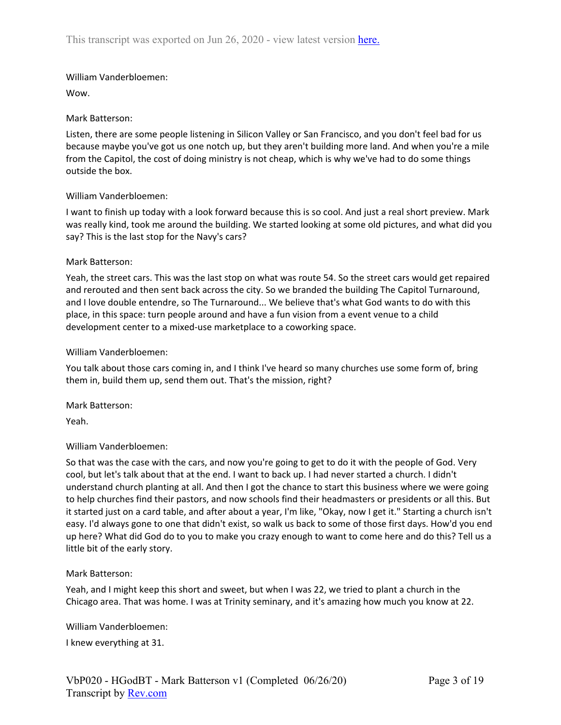Wow.

## Mark Batterson:

Listen, there are some people listening in Silicon Valley or San Francisco, and you don't feel bad for us because maybe you've got us one notch up, but they aren't building more land. And when you're a mile from the Capitol, the cost of doing ministry is not cheap, which is why we've had to do some things outside the box.

## William Vanderbloemen:

I want to finish up today with a look forward because this is so cool. And just a real short preview. Mark was really kind, took me around the building. We started looking at some old pictures, and what did you say? This is the last stop for the Navy's cars?

## Mark Batterson:

Yeah, the street cars. This was the last stop on what was route 54. So the street cars would get repaired and rerouted and then sent back across the city. So we branded the building The Capitol Turnaround, and I love double entendre, so The Turnaround... We believe that's what God wants to do with this place, in this space: turn people around and have a fun vision from a event venue to a child development center to a mixed-use marketplace to a coworking space.

## William Vanderbloemen:

You talk about those cars coming in, and I think I've heard so many churches use some form of, bring them in, build them up, send them out. That's the mission, right?

Mark Batterson:

Yeah.

# William Vanderbloemen:

So that was the case with the cars, and now you're going to get to do it with the people of God. Very cool, but let's talk about that at the end. I want to back up. I had never started a church. I didn't understand church planting at all. And then I got the chance to start this business where we were going to help churches find their pastors, and now schools find their headmasters or presidents or all this. But it started just on a card table, and after about a year, I'm like, "Okay, now I get it." Starting a church isn't easy. I'd always gone to one that didn't exist, so walk us back to some of those first days. How'd you end up here? What did God do to you to make you crazy enough to want to come here and do this? Tell us a little bit of the early story.

### Mark Batterson:

Yeah, and I might keep this short and sweet, but when I was 22, we tried to plant a church in the Chicago area. That was home. I was at Trinity seminary, and it's amazing how much you know at 22.

William Vanderbloemen:

I knew everything at 31.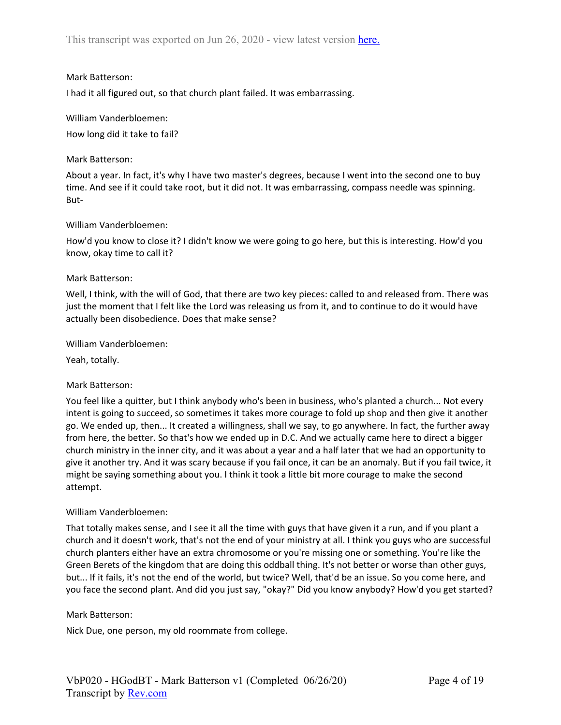## Mark Batterson:

I had it all figured out, so that church plant failed. It was embarrassing.

### William Vanderbloemen:

How long did it take to fail?

## Mark Batterson:

About a year. In fact, it's why I have two master's degrees, because I went into the second one to buy time. And see if it could take root, but it did not. It was embarrassing, compass needle was spinning. But-

### William Vanderbloemen:

How'd you know to close it? I didn't know we were going to go here, but this is interesting. How'd you know, okay time to call it?

## Mark Batterson:

Well, I think, with the will of God, that there are two key pieces: called to and released from. There was just the moment that I felt like the Lord was releasing us from it, and to continue to do it would have actually been disobedience. Does that make sense?

## William Vanderbloemen:

Yeah, totally.

# Mark Batterson:

You feel like a quitter, but I think anybody who's been in business, who's planted a church... Not every intent is going to succeed, so sometimes it takes more courage to fold up shop and then give it another go. We ended up, then... It created a willingness, shall we say, to go anywhere. In fact, the further away from here, the better. So that's how we ended up in D.C. And we actually came here to direct a bigger church ministry in the inner city, and it was about a year and a half later that we had an opportunity to give it another try. And it was scary because if you fail once, it can be an anomaly. But if you fail twice, it might be saying something about you. I think it took a little bit more courage to make the second attempt.

### William Vanderbloemen:

That totally makes sense, and I see it all the time with guys that have given it a run, and if you plant a church and it doesn't work, that's not the end of your ministry at all. I think you guys who are successful church planters either have an extra chromosome or you're missing one or something. You're like the Green Berets of the kingdom that are doing this oddball thing. It's not better or worse than other guys, but... If it fails, it's not the end of the world, but twice? Well, that'd be an issue. So you come here, and you face the second plant. And did you just say, "okay?" Did you know anybody? How'd you get started?

# Mark Batterson:

Nick Due, one person, my old roommate from college.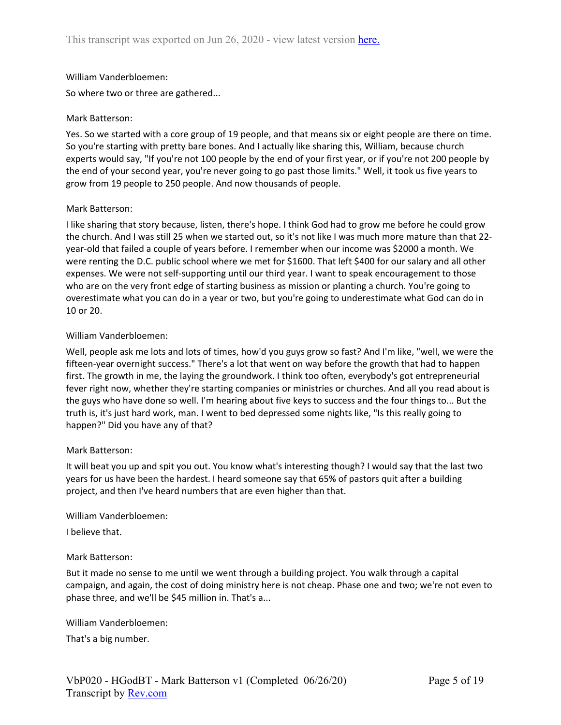So where two or three are gathered...

### Mark Batterson:

Yes. So we started with a core group of 19 people, and that means six or eight people are there on time. So you're starting with pretty bare bones. And I actually like sharing this, William, because church experts would say, "If you're not 100 people by the end of your first year, or if you're not 200 people by the end of your second year, you're never going to go past those limits." Well, it took us five years to grow from 19 people to 250 people. And now thousands of people.

### Mark Batterson:

I like sharing that story because, listen, there's hope. I think God had to grow me before he could grow the church. And I was still 25 when we started out, so it's not like I was much more mature than that 22 year-old that failed a couple of years before. I remember when our income was \$2000 a month. We were renting the D.C. public school where we met for \$1600. That left \$400 for our salary and all other expenses. We were not self-supporting until our third year. I want to speak encouragement to those who are on the very front edge of starting business as mission or planting a church. You're going to overestimate what you can do in a year or two, but you're going to underestimate what God can do in 10 or 20.

## William Vanderbloemen:

Well, people ask me lots and lots of times, how'd you guys grow so fast? And I'm like, "well, we were the fifteen-year overnight success." There's a lot that went on way before the growth that had to happen first. The growth in me, the laying the groundwork. I think too often, everybody's got entrepreneurial fever right now, whether they're starting companies or ministries or churches. And all you read about is the guys who have done so well. I'm hearing about five keys to success and the four things to... But the truth is, it's just hard work, man. I went to bed depressed some nights like, "Is this really going to happen?" Did you have any of that?

### Mark Batterson:

It will beat you up and spit you out. You know what's interesting though? I would say that the last two years for us have been the hardest. I heard someone say that 65% of pastors quit after a building project, and then I've heard numbers that are even higher than that.

### William Vanderbloemen:

I believe that.

### Mark Batterson:

But it made no sense to me until we went through a building project. You walk through a capital campaign, and again, the cost of doing ministry here is not cheap. Phase one and two; we're not even to phase three, and we'll be \$45 million in. That's a...

William Vanderbloemen:

That's a big number.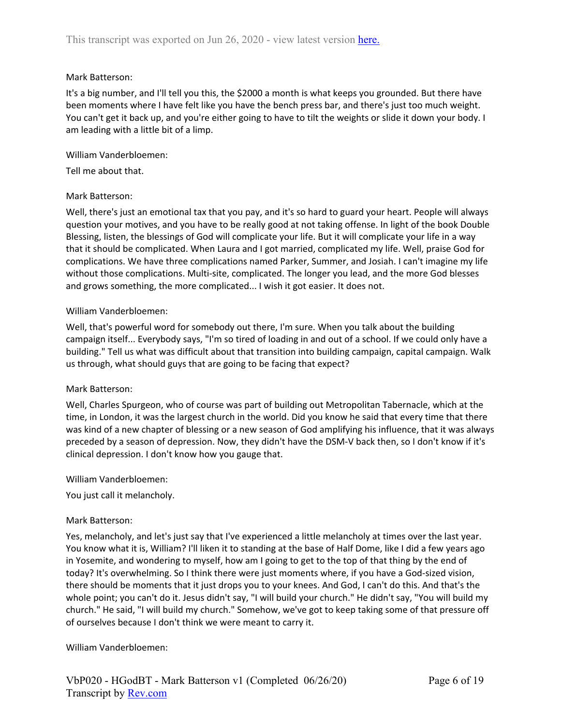## Mark Batterson:

It's a big number, and I'll tell you this, the \$2000 a month is what keeps you grounded. But there have been moments where I have felt like you have the bench press bar, and there's just too much weight. You can't get it back up, and you're either going to have to tilt the weights or slide it down your body. I am leading with a little bit of a limp.

William Vanderbloemen:

Tell me about that.

## Mark Batterson:

Well, there's just an emotional tax that you pay, and it's so hard to guard your heart. People will always question your motives, and you have to be really good at not taking offense. In light of the book Double Blessing, listen, the blessings of God will complicate your life. But it will complicate your life in a way that it should be complicated. When Laura and I got married, complicated my life. Well, praise God for complications. We have three complications named Parker, Summer, and Josiah. I can't imagine my life without those complications. Multi-site, complicated. The longer you lead, and the more God blesses and grows something, the more complicated... I wish it got easier. It does not.

## William Vanderbloemen:

Well, that's powerful word for somebody out there, I'm sure. When you talk about the building campaign itself... Everybody says, "I'm so tired of loading in and out of a school. If we could only have a building." Tell us what was difficult about that transition into building campaign, capital campaign. Walk us through, what should guys that are going to be facing that expect?

### Mark Batterson:

Well, Charles Spurgeon, who of course was part of building out Metropolitan Tabernacle, which at the time, in London, it was the largest church in the world. Did you know he said that every time that there was kind of a new chapter of blessing or a new season of God amplifying his influence, that it was always preceded by a season of depression. Now, they didn't have the DSM-V back then, so I don't know if it's clinical depression. I don't know how you gauge that.

William Vanderbloemen:

You just call it melancholy.

### Mark Batterson:

Yes, melancholy, and let's just say that I've experienced a little melancholy at times over the last year. You know what it is, William? I'll liken it to standing at the base of Half Dome, like I did a few years ago in Yosemite, and wondering to myself, how am I going to get to the top of that thing by the end of today? It's overwhelming. So I think there were just moments where, if you have a God-sized vision, there should be moments that it just drops you to your knees. And God, I can't do this. And that's the whole point; you can't do it. Jesus didn't say, "I will build your church." He didn't say, "You will build my church." He said, "I will build my church." Somehow, we've got to keep taking some of that pressure off of ourselves because I don't think we were meant to carry it.

William Vanderbloemen: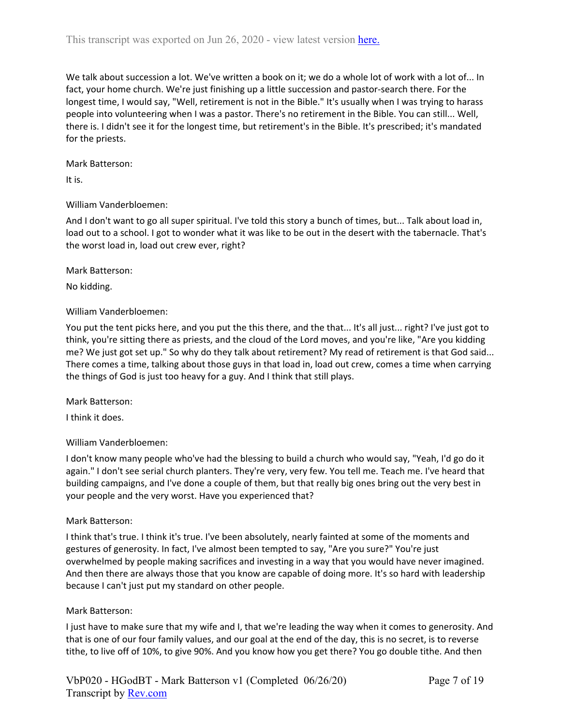We talk about succession a lot. We've written a book on it; we do a whole lot of work with a lot of... In fact, your home church. We're just finishing up a little succession and pastor-search there. For the longest time, I would say, "Well, retirement is not in the Bible." It's usually when I was trying to harass people into volunteering when I was a pastor. There's no retirement in the Bible. You can still... Well, there is. I didn't see it for the longest time, but retirement's in the Bible. It's prescribed; it's mandated for the priests.

Mark Batterson:

It is.

# William Vanderbloemen:

And I don't want to go all super spiritual. I've told this story a bunch of times, but... Talk about load in, load out to a school. I got to wonder what it was like to be out in the desert with the tabernacle. That's the worst load in, load out crew ever, right?

### Mark Batterson:

No kidding.

## William Vanderbloemen:

You put the tent picks here, and you put the this there, and the that... It's all just... right? I've just got to think, you're sitting there as priests, and the cloud of the Lord moves, and you're like, "Are you kidding me? We just got set up." So why do they talk about retirement? My read of retirement is that God said... There comes a time, talking about those guys in that load in, load out crew, comes a time when carrying the things of God is just too heavy for a guy. And I think that still plays.

### Mark Batterson:

I think it does.

# William Vanderbloemen:

I don't know many people who've had the blessing to build a church who would say, "Yeah, I'd go do it again." I don't see serial church planters. They're very, very few. You tell me. Teach me. I've heard that building campaigns, and I've done a couple of them, but that really big ones bring out the very best in your people and the very worst. Have you experienced that?

# Mark Batterson:

I think that's true. I think it's true. I've been absolutely, nearly fainted at some of the moments and gestures of generosity. In fact, I've almost been tempted to say, "Are you sure?" You're just overwhelmed by people making sacrifices and investing in a way that you would have never imagined. And then there are always those that you know are capable of doing more. It's so hard with leadership because I can't just put my standard on other people.

# Mark Batterson:

I just have to make sure that my wife and I, that we're leading the way when it comes to generosity. And that is one of our four family values, and our goal at the end of the day, this is no secret, is to reverse tithe, to live off of 10%, to give 90%. And you know how you get there? You go double tithe. And then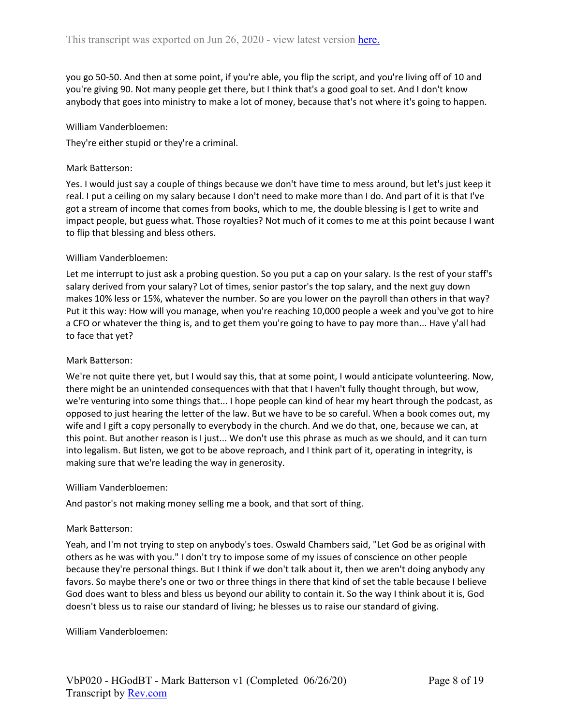you go 50-50. And then at some point, if you're able, you flip the script, and you're living off of 10 and you're giving 90. Not many people get there, but I think that's a good goal to set. And I don't know anybody that goes into ministry to make a lot of money, because that's not where it's going to happen.

#### William Vanderbloemen:

They're either stupid or they're a criminal.

### Mark Batterson:

Yes. I would just say a couple of things because we don't have time to mess around, but let's just keep it real. I put a ceiling on my salary because I don't need to make more than I do. And part of it is that I've got a stream of income that comes from books, which to me, the double blessing is I get to write and impact people, but guess what. Those royalties? Not much of it comes to me at this point because I want to flip that blessing and bless others.

### William Vanderbloemen:

Let me interrupt to just ask a probing question. So you put a cap on your salary. Is the rest of your staff's salary derived from your salary? Lot of times, senior pastor's the top salary, and the next guy down makes 10% less or 15%, whatever the number. So are you lower on the payroll than others in that way? Put it this way: How will you manage, when you're reaching 10,000 people a week and you've got to hire a CFO or whatever the thing is, and to get them you're going to have to pay more than... Have y'all had to face that yet?

### Mark Batterson:

We're not quite there yet, but I would say this, that at some point, I would anticipate volunteering. Now, there might be an unintended consequences with that that I haven't fully thought through, but wow, we're venturing into some things that... I hope people can kind of hear my heart through the podcast, as opposed to just hearing the letter of the law. But we have to be so careful. When a book comes out, my wife and I gift a copy personally to everybody in the church. And we do that, one, because we can, at this point. But another reason is I just... We don't use this phrase as much as we should, and it can turn into legalism. But listen, we got to be above reproach, and I think part of it, operating in integrity, is making sure that we're leading the way in generosity.

#### William Vanderbloemen:

And pastor's not making money selling me a book, and that sort of thing.

### Mark Batterson:

Yeah, and I'm not trying to step on anybody's toes. Oswald Chambers said, "Let God be as original with others as he was with you." I don't try to impose some of my issues of conscience on other people because they're personal things. But I think if we don't talk about it, then we aren't doing anybody any favors. So maybe there's one or two or three things in there that kind of set the table because I believe God does want to bless and bless us beyond our ability to contain it. So the way I think about it is, God doesn't bless us to raise our standard of living; he blesses us to raise our standard of giving.

William Vanderbloemen: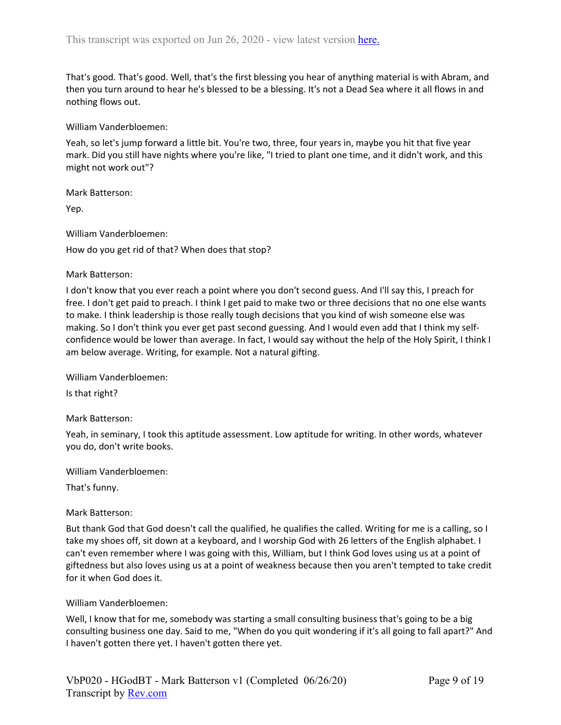That's good. That's good. Well, that's the first blessing you hear of anything material is with Abram, and then you turn around to hear he's blessed to be a blessing. It's not a Dead Sea where it all flows in and nothing flows out.

William Vanderbloemen:

Yeah, so let's jump forward a little bit. You're two, three, four years in, maybe you hit that five year mark. Did you still have nights where you're like, "I tried to plant one time, and it didn't work, and this might not work out"?

Mark Batterson:

Yep.

William Vanderbloemen: How do you get rid of that? When does that stop?

#### Mark Batterson:

I don't know that you ever reach a point where you don't second guess. And I'll say this, I preach for free. I don't get paid to preach. I think I get paid to make two or three decisions that no one else wants to make. I think leadership is those really tough decisions that you kind of wish someone else was making. So I don't think you ever get past second guessing. And I would even add that I think my selfconfidence would be lower than average. In fact, I would say without the help of the Holy Spirit, I think I am below average. Writing, for example. Not a natural gifting.

William Vanderbloemen:

Is that right?

#### Mark Batterson:

Yeah, in seminary, I took this aptitude assessment. Low aptitude for writing. In other words, whatever you do, don't write books.

William Vanderbloemen:

That's funny.

### Mark Batterson:

But thank God that God doesn't call the qualified, he qualifies the called. Writing for me is a calling, so I take my shoes off, sit down at a keyboard, and I worship God with 26 letters of the English alphabet. I can't even remember where I was going with this, William, but I think God loves using us at a point of giftedness but also loves using us at a point of weakness because then you aren't tempted to take credit for it when God does it.

#### William Vanderbloemen:

Well, I know that for me, somebody was starting a small consulting business that's going to be a big consulting business one day. Said to me, "When do you quit wondering if it's all going to fall apart?" And I haven't gotten there yet. I haven't gotten there yet.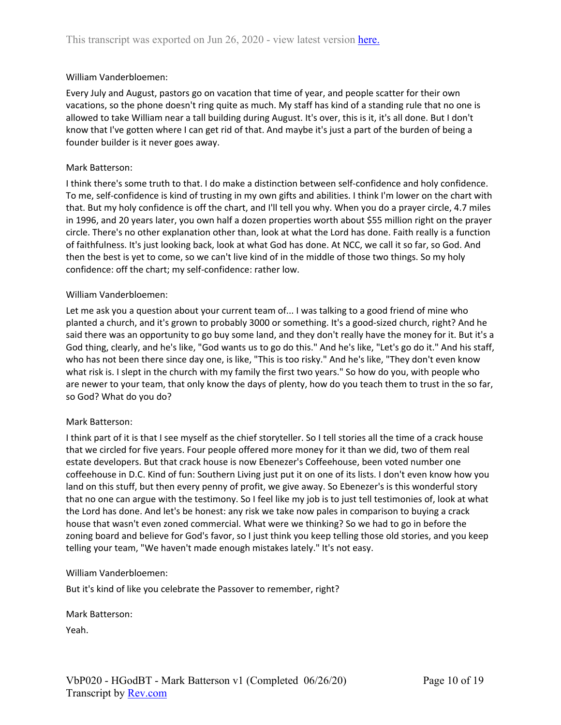Every July and August, pastors go on vacation that time of year, and people scatter for their own vacations, so the phone doesn't ring quite as much. My staff has kind of a standing rule that no one is allowed to take William near a tall building during August. It's over, this is it, it's all done. But I don't know that I've gotten where I can get rid of that. And maybe it's just a part of the burden of being a founder builder is it never goes away.

#### Mark Batterson:

I think there's some truth to that. I do make a distinction between self-confidence and holy confidence. To me, self-confidence is kind of trusting in my own gifts and abilities. I think I'm lower on the chart with that. But my holy confidence is off the chart, and I'll tell you why. When you do a prayer circle, 4.7 miles in 1996, and 20 years later, you own half a dozen properties worth about \$55 million right on the prayer circle. There's no other explanation other than, look at what the Lord has done. Faith really is a function of faithfulness. It's just looking back, look at what God has done. At NCC, we call it so far, so God. And then the best is yet to come, so we can't live kind of in the middle of those two things. So my holy confidence: off the chart; my self-confidence: rather low.

#### William Vanderbloemen:

Let me ask you a question about your current team of... I was talking to a good friend of mine who planted a church, and it's grown to probably 3000 or something. It's a good-sized church, right? And he said there was an opportunity to go buy some land, and they don't really have the money for it. But it's a God thing, clearly, and he's like, "God wants us to go do this." And he's like, "Let's go do it." And his staff, who has not been there since day one, is like, "This is too risky." And he's like, "They don't even know what risk is. I slept in the church with my family the first two years." So how do you, with people who are newer to your team, that only know the days of plenty, how do you teach them to trust in the so far, so God? What do you do?

### Mark Batterson:

I think part of it is that I see myself as the chief storyteller. So I tell stories all the time of a crack house that we circled for five years. Four people offered more money for it than we did, two of them real estate developers. But that crack house is now Ebenezer's Coffeehouse, been voted number one coffeehouse in D.C. Kind of fun: Southern Living just put it on one of its lists. I don't even know how you land on this stuff, but then every penny of profit, we give away. So Ebenezer's is this wonderful story that no one can argue with the testimony. So I feel like my job is to just tell testimonies of, look at what the Lord has done. And let's be honest: any risk we take now pales in comparison to buying a crack house that wasn't even zoned commercial. What were we thinking? So we had to go in before the zoning board and believe for God's favor, so I just think you keep telling those old stories, and you keep telling your team, "We haven't made enough mistakes lately." It's not easy.

#### William Vanderbloemen:

But it's kind of like you celebrate the Passover to remember, right?

Mark Batterson:

Yeah.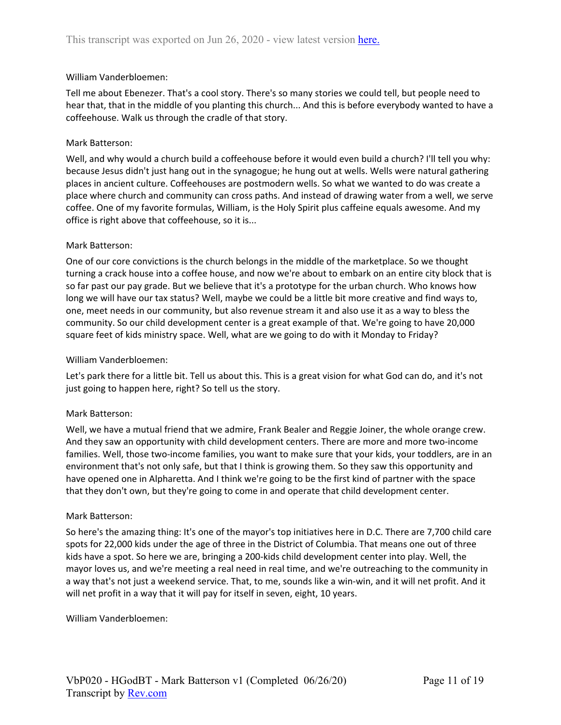Tell me about Ebenezer. That's a cool story. There's so many stories we could tell, but people need to hear that, that in the middle of you planting this church... And this is before everybody wanted to have a coffeehouse. Walk us through the cradle of that story.

## Mark Batterson:

Well, and why would a church build a coffeehouse before it would even build a church? I'll tell you why: because Jesus didn't just hang out in the synagogue; he hung out at wells. Wells were natural gathering places in ancient culture. Coffeehouses are postmodern wells. So what we wanted to do was create a place where church and community can cross paths. And instead of drawing water from a well, we serve coffee. One of my favorite formulas, William, is the Holy Spirit plus caffeine equals awesome. And my office is right above that coffeehouse, so it is...

## Mark Batterson:

One of our core convictions is the church belongs in the middle of the marketplace. So we thought turning a crack house into a coffee house, and now we're about to embark on an entire city block that is so far past our pay grade. But we believe that it's a prototype for the urban church. Who knows how long we will have our tax status? Well, maybe we could be a little bit more creative and find ways to, one, meet needs in our community, but also revenue stream it and also use it as a way to bless the community. So our child development center is a great example of that. We're going to have 20,000 square feet of kids ministry space. Well, what are we going to do with it Monday to Friday?

## William Vanderbloemen:

Let's park there for a little bit. Tell us about this. This is a great vision for what God can do, and it's not just going to happen here, right? So tell us the story.

### Mark Batterson:

Well, we have a mutual friend that we admire, Frank Bealer and Reggie Joiner, the whole orange crew. And they saw an opportunity with child development centers. There are more and more two-income families. Well, those two-income families, you want to make sure that your kids, your toddlers, are in an environment that's not only safe, but that I think is growing them. So they saw this opportunity and have opened one in Alpharetta. And I think we're going to be the first kind of partner with the space that they don't own, but they're going to come in and operate that child development center.

### Mark Batterson:

So here's the amazing thing: It's one of the mayor's top initiatives here in D.C. There are 7,700 child care spots for 22,000 kids under the age of three in the District of Columbia. That means one out of three kids have a spot. So here we are, bringing a 200-kids child development center into play. Well, the mayor loves us, and we're meeting a real need in real time, and we're outreaching to the community in a way that's not just a weekend service. That, to me, sounds like a win-win, and it will net profit. And it will net profit in a way that it will pay for itself in seven, eight, 10 years.

William Vanderbloemen: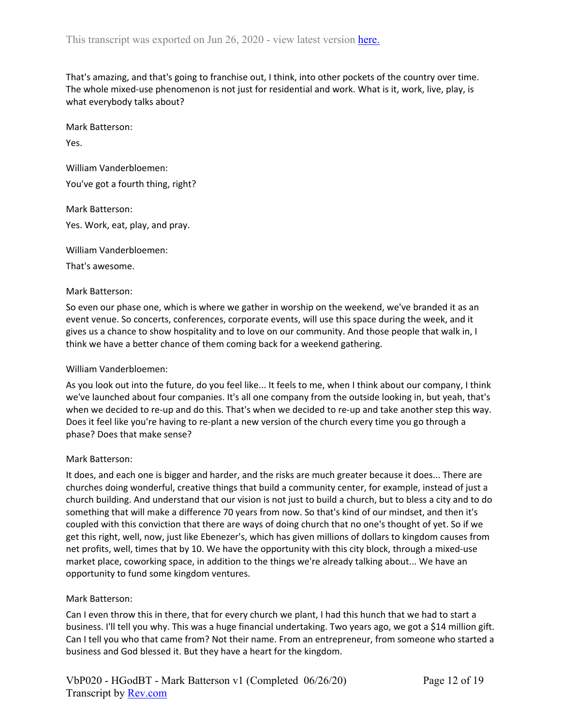That's amazing, and that's going to franchise out, I think, into other pockets of the country over time. The whole mixed-use phenomenon is not just for residential and work. What is it, work, live, play, is what everybody talks about?

Mark Batterson:

Yes.

William Vanderbloemen: You've got a fourth thing, right?

Mark Batterson: Yes. Work, eat, play, and pray.

William Vanderbloemen:

That's awesome.

## Mark Batterson:

So even our phase one, which is where we gather in worship on the weekend, we've branded it as an event venue. So concerts, conferences, corporate events, will use this space during the week, and it gives us a chance to show hospitality and to love on our community. And those people that walk in, I think we have a better chance of them coming back for a weekend gathering.

### William Vanderbloemen:

As you look out into the future, do you feel like... It feels to me, when I think about our company, I think we've launched about four companies. It's all one company from the outside looking in, but yeah, that's when we decided to re-up and do this. That's when we decided to re-up and take another step this way. Does it feel like you're having to re-plant a new version of the church every time you go through a phase? Does that make sense?

### Mark Batterson:

It does, and each one is bigger and harder, and the risks are much greater because it does... There are churches doing wonderful, creative things that build a community center, for example, instead of just a church building. And understand that our vision is not just to build a church, but to bless a city and to do something that will make a difference 70 years from now. So that's kind of our mindset, and then it's coupled with this conviction that there are ways of doing church that no one's thought of yet. So if we get this right, well, now, just like Ebenezer's, which has given millions of dollars to kingdom causes from net profits, well, times that by 10. We have the opportunity with this city block, through a mixed-use market place, coworking space, in addition to the things we're already talking about... We have an opportunity to fund some kingdom ventures.

# Mark Batterson:

Can I even throw this in there, that for every church we plant, I had this hunch that we had to start a business. I'll tell you why. This was a huge financial undertaking. Two years ago, we got a \$14 million gift. Can I tell you who that came from? Not their name. From an entrepreneur, from someone who started a business and God blessed it. But they have a heart for the kingdom.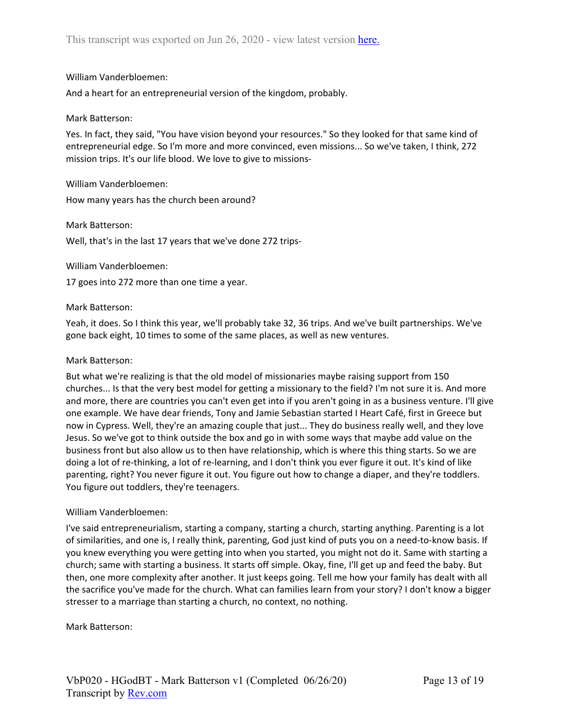And a heart for an entrepreneurial version of the kingdom, probably.

### Mark Batterson:

Yes. In fact, they said, "You have vision beyond your resources." So they looked for that same kind of entrepreneurial edge. So I'm more and more convinced, even missions... So we've taken, I think, 272 mission trips. It's our life blood. We love to give to missions-

William Vanderbloemen: How many years has the church been around?

### Mark Batterson:

Well, that's in the last 17 years that we've done 272 trips-

#### William Vanderbloemen:

17 goes into 272 more than one time a year.

### Mark Batterson:

Yeah, it does. So I think this year, we'll probably take 32, 36 trips. And we've built partnerships. We've gone back eight, 10 times to some of the same places, as well as new ventures.

### Mark Batterson:

But what we're realizing is that the old model of missionaries maybe raising support from 150 churches... Is that the very best model for getting a missionary to the field? I'm not sure it is. And more and more, there are countries you can't even get into if you aren't going in as a business venture. I'll give one example. We have dear friends, Tony and Jamie Sebastian started I Heart Café, first in Greece but now in Cypress. Well, they're an amazing couple that just... They do business really well, and they love Jesus. So we've got to think outside the box and go in with some ways that maybe add value on the business front but also allow us to then have relationship, which is where this thing starts. So we are doing a lot of re-thinking, a lot of re-learning, and I don't think you ever figure it out. It's kind of like parenting, right? You never figure it out. You figure out how to change a diaper, and they're toddlers. You figure out toddlers, they're teenagers.

### William Vanderbloemen:

I've said entrepreneurialism, starting a company, starting a church, starting anything. Parenting is a lot of similarities, and one is, I really think, parenting, God just kind of puts you on a need-to-know basis. If you knew everything you were getting into when you started, you might not do it. Same with starting a church; same with starting a business. It starts off simple. Okay, fine, I'll get up and feed the baby. But then, one more complexity after another. It just keeps going. Tell me how your family has dealt with all the sacrifice you've made for the church. What can families learn from your story? I don't know a bigger stresser to a marriage than starting a church, no context, no nothing.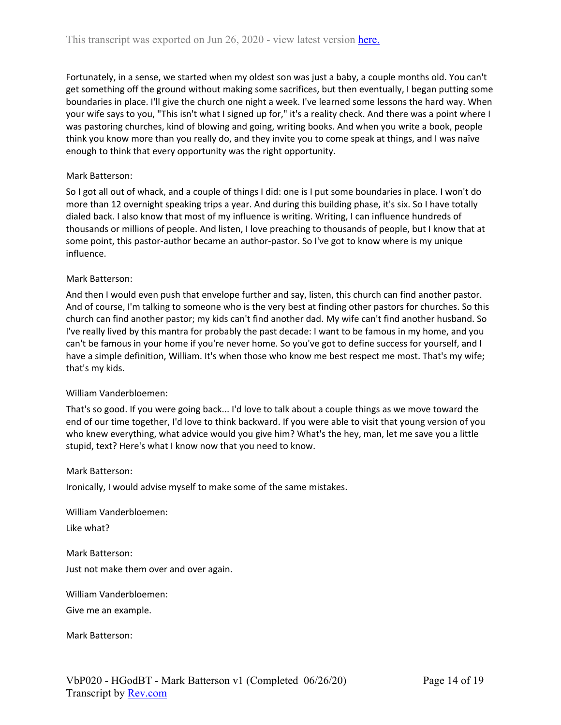Fortunately, in a sense, we started when my oldest son was just a baby, a couple months old. You can't get something off the ground without making some sacrifices, but then eventually, I began putting some boundaries in place. I'll give the church one night a week. I've learned some lessons the hard way. When your wife says to you, "This isn't what I signed up for," it's a reality check. And there was a point where I was pastoring churches, kind of blowing and going, writing books. And when you write a book, people think you know more than you really do, and they invite you to come speak at things, and I was naïve enough to think that every opportunity was the right opportunity.

### Mark Batterson:

So I got all out of whack, and a couple of things I did: one is I put some boundaries in place. I won't do more than 12 overnight speaking trips a year. And during this building phase, it's six. So I have totally dialed back. I also know that most of my influence is writing. Writing, I can influence hundreds of thousands or millions of people. And listen, I love preaching to thousands of people, but I know that at some point, this pastor-author became an author-pastor. So I've got to know where is my unique influence.

### Mark Batterson:

And then I would even push that envelope further and say, listen, this church can find another pastor. And of course, I'm talking to someone who is the very best at finding other pastors for churches. So this church can find another pastor; my kids can't find another dad. My wife can't find another husband. So I've really lived by this mantra for probably the past decade: I want to be famous in my home, and you can't be famous in your home if you're never home. So you've got to define success for yourself, and I have a simple definition, William. It's when those who know me best respect me most. That's my wife; that's my kids.

### William Vanderbloemen:

That's so good. If you were going back... I'd love to talk about a couple things as we move toward the end of our time together, I'd love to think backward. If you were able to visit that young version of you who knew everything, what advice would you give him? What's the hey, man, let me save you a little stupid, text? Here's what I know now that you need to know.

### Mark Batterson:

Ironically, I would advise myself to make some of the same mistakes.

William Vanderbloemen:

Like what?

Mark Batterson:

Just not make them over and over again.

William Vanderbloemen:

Give me an example.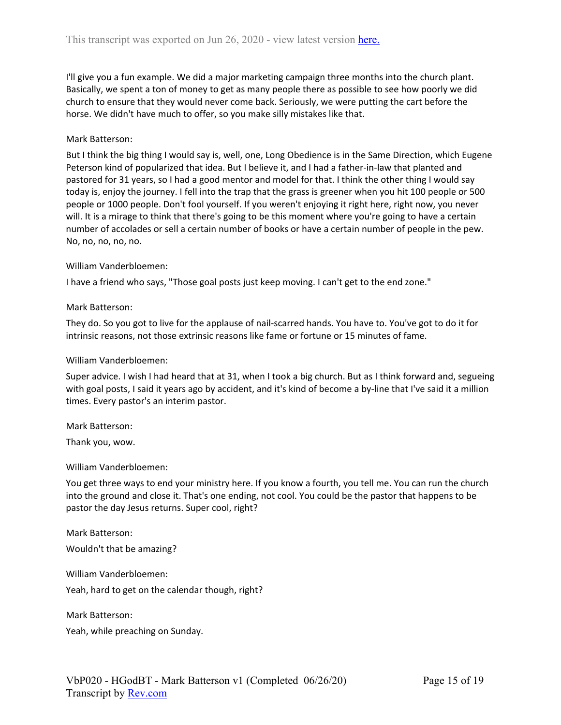I'll give you a fun example. We did a major marketing campaign three months into the church plant. Basically, we spent a ton of money to get as many people there as possible to see how poorly we did church to ensure that they would never come back. Seriously, we were putting the cart before the horse. We didn't have much to offer, so you make silly mistakes like that.

## Mark Batterson:

But I think the big thing I would say is, well, one, Long Obedience is in the Same Direction, which Eugene Peterson kind of popularized that idea. But I believe it, and I had a father-in-law that planted and pastored for 31 years, so I had a good mentor and model for that. I think the other thing I would say today is, enjoy the journey. I fell into the trap that the grass is greener when you hit 100 people or 500 people or 1000 people. Don't fool yourself. If you weren't enjoying it right here, right now, you never will. It is a mirage to think that there's going to be this moment where you're going to have a certain number of accolades or sell a certain number of books or have a certain number of people in the pew. No, no, no, no, no.

### William Vanderbloemen:

I have a friend who says, "Those goal posts just keep moving. I can't get to the end zone."

### Mark Batterson:

They do. So you got to live for the applause of nail-scarred hands. You have to. You've got to do it for intrinsic reasons, not those extrinsic reasons like fame or fortune or 15 minutes of fame.

#### William Vanderbloemen:

Super advice. I wish I had heard that at 31, when I took a big church. But as I think forward and, segueing with goal posts, I said it years ago by accident, and it's kind of become a by-line that I've said it a million times. Every pastor's an interim pastor.

Mark Batterson:

Thank you, wow.

### William Vanderbloemen:

You get three ways to end your ministry here. If you know a fourth, you tell me. You can run the church into the ground and close it. That's one ending, not cool. You could be the pastor that happens to be pastor the day Jesus returns. Super cool, right?

Mark Batterson: Wouldn't that be amazing?

William Vanderbloemen:

Yeah, hard to get on the calendar though, right?

Mark Batterson:

Yeah, while preaching on Sunday.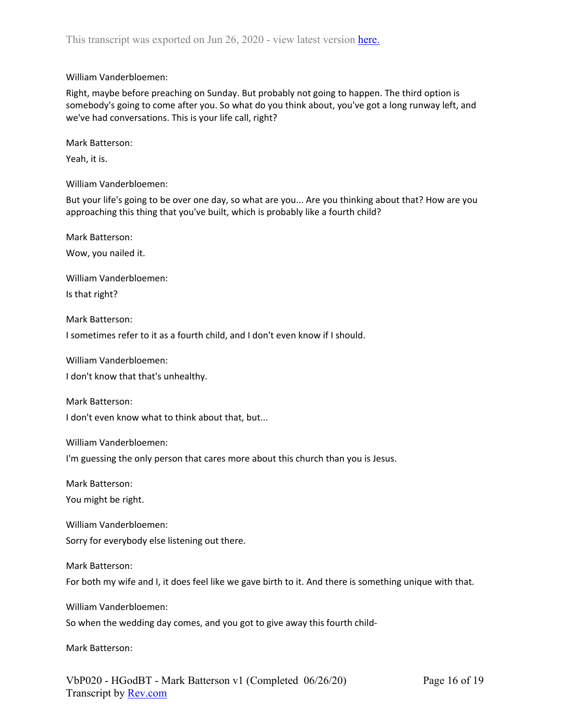Right, maybe before preaching on Sunday. But probably not going to happen. The third option is somebody's going to come after you. So what do you think about, you've got a long runway left, and we've had conversations. This is your life call, right?

Mark Batterson:

Yeah, it is.

William Vanderbloemen:

But your life's going to be over one day, so what are you... Are you thinking about that? How are you approaching this thing that you've built, which is probably like a fourth child?

Mark Batterson:

Wow, you nailed it.

William Vanderbloemen:

Is that right?

Mark Batterson:

I sometimes refer to it as a fourth child, and I don't even know if I should.

William Vanderbloemen:

I don't know that that's unhealthy.

Mark Batterson:

I don't even know what to think about that, but...

William Vanderbloemen:

I'm guessing the only person that cares more about this church than you is Jesus.

Mark Batterson:

You might be right.

William Vanderbloemen:

Sorry for everybody else listening out there.

Mark Batterson:

For both my wife and I, it does feel like we gave birth to it. And there is something unique with that.

William Vanderbloemen:

So when the wedding day comes, and you got to give away this fourth child-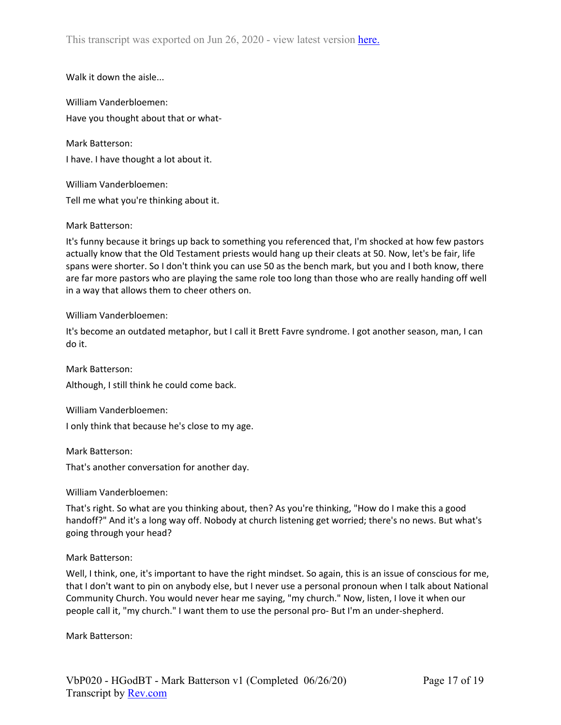Walk it down the aisle...

William Vanderbloemen: Have you thought about that or what-

Mark Batterson:

I have. I have thought a lot about it.

William Vanderbloemen: Tell me what you're thinking about it.

### Mark Batterson:

It's funny because it brings up back to something you referenced that, I'm shocked at how few pastors actually know that the Old Testament priests would hang up their cleats at 50. Now, let's be fair, life spans were shorter. So I don't think you can use 50 as the bench mark, but you and I both know, there are far more pastors who are playing the same role too long than those who are really handing off well in a way that allows them to cheer others on.

William Vanderbloemen:

It's become an outdated metaphor, but I call it Brett Favre syndrome. I got another season, man, I can do it.

Although, I still think he could come back.

William Vanderbloemen:

I only think that because he's close to my age.

Mark Batterson:

Mark Batterson:

That's another conversation for another day.

William Vanderbloemen:

That's right. So what are you thinking about, then? As you're thinking, "How do I make this a good handoff?" And it's a long way off. Nobody at church listening get worried; there's no news. But what's going through your head?

Mark Batterson:

Well, I think, one, it's important to have the right mindset. So again, this is an issue of conscious for me, that I don't want to pin on anybody else, but I never use a personal pronoun when I talk about National Community Church. You would never hear me saying, "my church." Now, listen, I love it when our people call it, "my church." I want them to use the personal pro- But I'm an under-shepherd.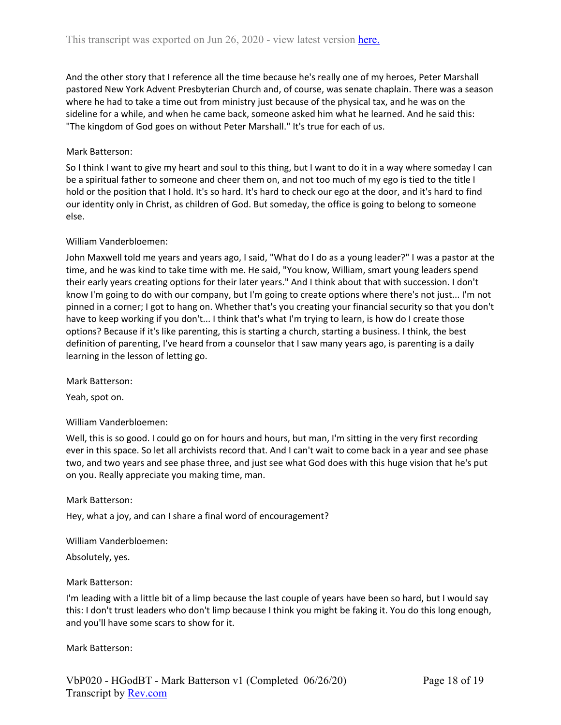And the other story that I reference all the time because he's really one of my heroes, Peter Marshall pastored New York Advent Presbyterian Church and, of course, was senate chaplain. There was a season where he had to take a time out from ministry just because of the physical tax, and he was on the sideline for a while, and when he came back, someone asked him what he learned. And he said this: "The kingdom of God goes on without Peter Marshall." It's true for each of us.

## Mark Batterson:

So I think I want to give my heart and soul to this thing, but I want to do it in a way where someday I can be a spiritual father to someone and cheer them on, and not too much of my ego is tied to the title I hold or the position that I hold. It's so hard. It's hard to check our ego at the door, and it's hard to find our identity only in Christ, as children of God. But someday, the office is going to belong to someone else.

### William Vanderbloemen:

John Maxwell told me years and years ago, I said, "What do I do as a young leader?" I was a pastor at the time, and he was kind to take time with me. He said, "You know, William, smart young leaders spend their early years creating options for their later years." And I think about that with succession. I don't know I'm going to do with our company, but I'm going to create options where there's not just... I'm not pinned in a corner; I got to hang on. Whether that's you creating your financial security so that you don't have to keep working if you don't... I think that's what I'm trying to learn, is how do I create those options? Because if it's like parenting, this is starting a church, starting a business. I think, the best definition of parenting, I've heard from a counselor that I saw many years ago, is parenting is a daily learning in the lesson of letting go.

Mark Batterson:

Yeah, spot on.

### William Vanderbloemen:

Well, this is so good. I could go on for hours and hours, but man, I'm sitting in the very first recording ever in this space. So let all archivists record that. And I can't wait to come back in a year and see phase two, and two years and see phase three, and just see what God does with this huge vision that he's put on you. Really appreciate you making time, man.

### Mark Batterson:

Hey, what a joy, and can I share a final word of encouragement?

William Vanderbloemen:

Absolutely, yes.

### Mark Batterson:

I'm leading with a little bit of a limp because the last couple of years have been so hard, but I would say this: I don't trust leaders who don't limp because I think you might be faking it. You do this long enough, and you'll have some scars to show for it.